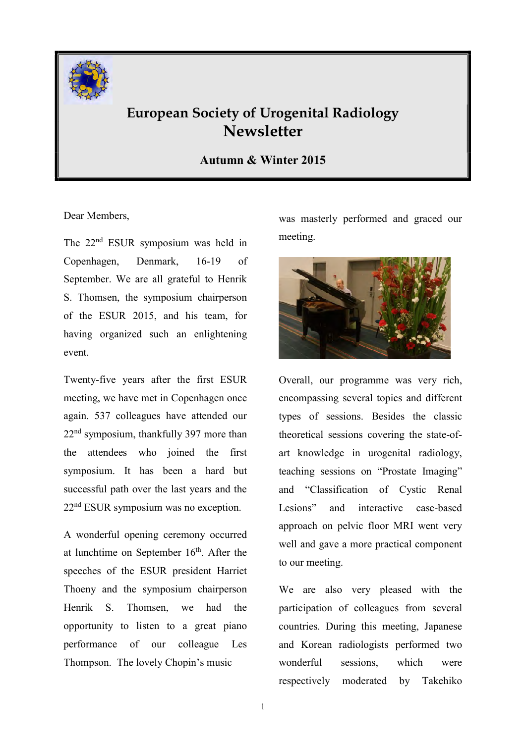

# European Society of Urogenital Radiology **Newsletter**

### Autumn & Winter 2015

Dear Members,

The 22<sup>nd</sup> ESUR symposium was held in Copenhagen, Denmark, 16-19 of September. We are all grateful to Henrik S. Thomsen, the symposium chairperson of the ESUR 2015, and his team, for having organized such an enlightening event.

Twenty-five years after the first ESUR meeting, we have met in Copenhagen once again. 537 colleagues have attended our 22nd symposium, thankfully 397 more than the attendees who joined the first symposium. It has been a hard but successful path over the last years and the 22nd ESUR symposium was no exception.

A wonderful opening ceremony occurred at lunchtime on September  $16<sup>th</sup>$ . After the speeches of the ESUR president Harriet Thoeny and the symposium chairperson Henrik S. Thomsen, we had the opportunity to listen to a great piano performance of our colleague Les Thompson. The lovely Chopin's music

was masterly performed and graced our meeting.



Overall, our programme was very rich, encompassing several topics and different types of sessions. Besides the classic theoretical sessions covering the state-ofart knowledge in urogenital radiology, teaching sessions on "Prostate Imaging" and "Classification of Cystic Renal Lesions" and interactive case-based approach on pelvic floor MRI went very well and gave a more practical component to our meeting.

We are also very pleased with the participation of colleagues from several countries. During this meeting, Japanese and Korean radiologists performed two wonderful sessions, which were respectively moderated by Takehiko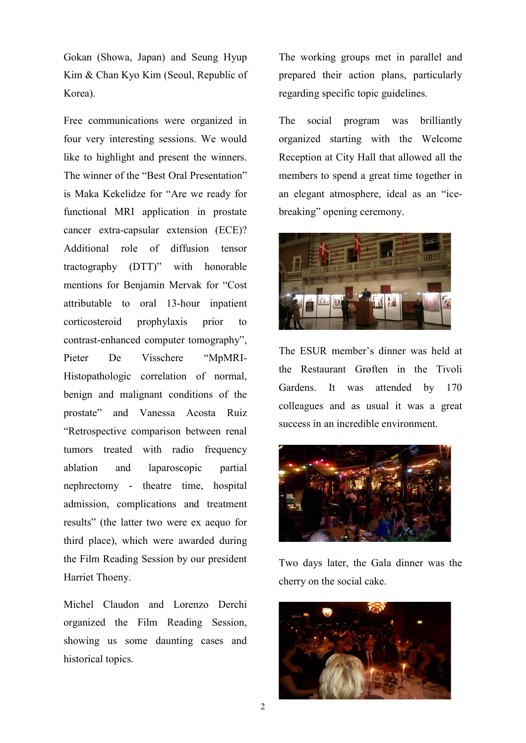Gokan (Showa, Japan) and Seung Hyup Kim & Chan Kyo Kim (Seoul, Republic of Korea).

Free communications were organized in four very interesting sessions. We would like to highlight and present the winners. The winner of the "Best Oral Presentation" is Maka Kekelidze for "Are we ready for functional MRI application in prostate cancer extra-capsular extension (ECE)? Additional role of diffusion tensor tractography (DTT)" with honorable mentions for Benjamin Mervak for "Cost attributable to oral 13-hour inpatient corticosteroid prophylaxis prior to contrast-enhanced computer tomography", Pieter De Visschere "MpMRI-Histopathologic correlation of normal, benign and malignant conditions of the prostate" and Vanessa Acosta Ruiz "Retrospective comparison between renal tumors treated with radio frequency ablation and laparoscopic partial nephrectomy - theatre time, hospital admission, complications and treatment results" (the latter two were ex aequo for third place), which were awarded during the Film Reading Session by our president Harriet Thoeny.

Michel Claudon and Lorenzo Derchi organized the Film Reading Session, showing us some daunting cases and historical topics.

The working groups met in parallel and prepared their action plans, particularly regarding specific topic guidelines.

The social program was brilliantly organized starting with the Welcome Reception at City Hall that allowed all the members to spend a great time together in an elegant atmosphere, ideal as an "icebreaking" opening ceremony.



The ESUR member's dinner was held at the Restaurant Grøften in the Tivoli Gardens. It was attended by 170 colleagues and as usual it was a great success in an incredible environment.



Two days later, the Gala dinner was the cherry on the social cake.

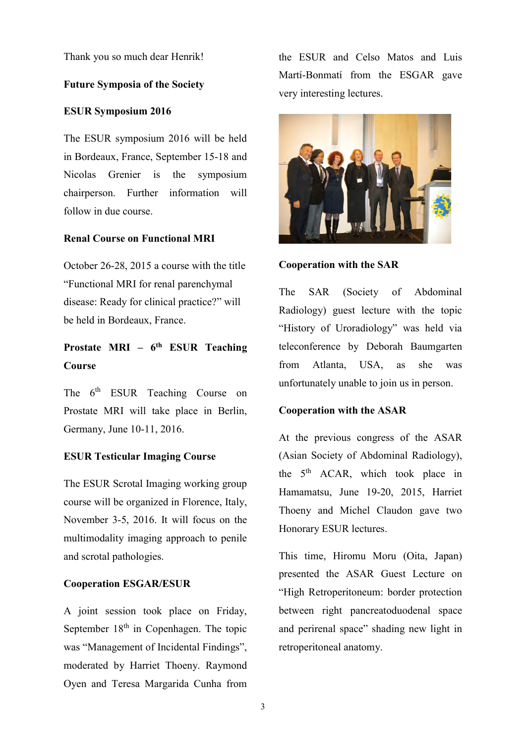Thank you so much dear Henrik!

#### Future Symposia of the Society

#### ESUR Symposium 2016

The ESUR symposium 2016 will be held in Bordeaux, France, September 15-18 and Nicolas Grenier is the symposium chairperson. Further information will follow in due course.

#### Renal Course on Functional MRI

October 26-28, 2015 a course with the title "Functional MRI for renal parenchymal disease: Ready for clinical practice?" will be held in Bordeaux, France.

## Prostate MRI –  $6<sup>th</sup>$  ESUR Teaching Course

The 6<sup>th</sup> ESUR Teaching Course on Prostate MRI will take place in Berlin, Germany, June 10-11, 2016.

#### ESUR Testicular Imaging Course

The ESUR Scrotal Imaging working group course will be organized in Florence, Italy, November 3-5, 2016. It will focus on the multimodality imaging approach to penile and scrotal pathologies.

#### Cooperation ESGAR/ESUR

A joint session took place on Friday, September  $18<sup>th</sup>$  in Copenhagen. The topic was "Management of Incidental Findings", moderated by Harriet Thoeny. Raymond Oyen and Teresa Margarida Cunha from

the ESUR and Celso Matos and Luis Martí-Bonmatí from the ESGAR gave very interesting lectures.



#### Cooperation with the SAR

The SAR (Society of Abdominal Radiology) guest lecture with the topic "History of Uroradiology" was held via teleconference by Deborah Baumgarten from Atlanta, USA, as she was unfortunately unable to join us in person.

#### Cooperation with the ASAR

At the previous congress of the ASAR (Asian Society of Abdominal Radiology), the 5<sup>th</sup> ACAR, which took place in Hamamatsu, June 19-20, 2015, Harriet Thoeny and Michel Claudon gave two Honorary ESUR lectures.

This time, Hiromu Moru (Oita, Japan) presented the ASAR Guest Lecture on "High Retroperitoneum: border protection between right pancreatoduodenal space and perirenal space" shading new light in retroperitoneal anatomy.